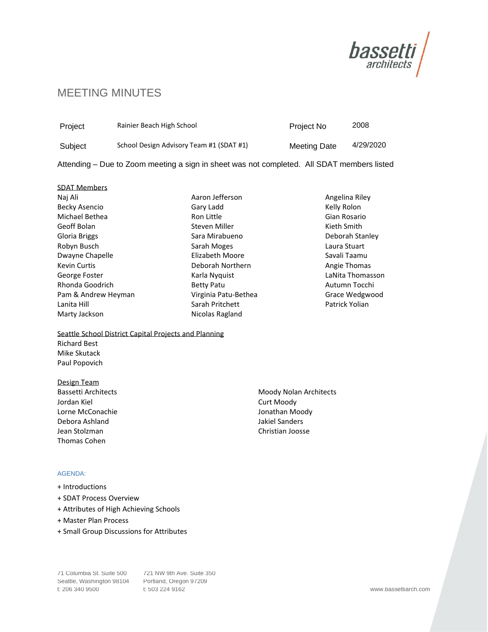

# MEETING MINUTES

| Project | Rainier Beach High School                | Project No          | 2008      |
|---------|------------------------------------------|---------------------|-----------|
| Subiect | School Design Advisory Team #1 (SDAT #1) | <b>Meeting Date</b> | 4/29/2020 |

Attending – Due to Zoom meeting a sign in sheet was not completed. All SDAT members listed

# SDAT Members Naj Ali Becky Asencio Michael Bethea Geoff Bolan Gloria Briggs Robyn Busch Dwayne Chapelle Kevin Curtis George Foster Rhonda Goodrich Pam & Andrew Heyman Lanita Hill Marty Jackson

Aaron Jefferson Gary Ladd Ron Little Steven Miller Sara Mirabueno Sarah Moges Elizabeth Moore Deborah Northern Karla Nyquist Betty Patu Virginia Patu-Bethea Sarah Pritchett Nicolas Ragland

Angelina Riley Kelly Rolon Gian Rosario Kieth Smith Deborah Stanley Laura Stuart Savali Taamu Angie Thomas LaNita Thomasson Autumn Tocchi Grace Wedgwood Patrick Yolian

Seattle School District Capital Projects and Planning Richard Best Mike Skutack Paul Popovich

# Design Team

Bassetti Architects Jordan Kiel Lorne McConachie Debora Ashland Jean Stolzman Thomas Cohen

# AGENDA:

- + Introductions
- + SDAT Process Overview
- + Attributes of High Achieving Schools
- + Master Plan Process
- + Small Group Discussions for Attributes

71 Columbia St. Suite 500 721 NW 9th Ave. Suite 350 Seattle, Washington 98104 Portland, Oregon 97209 t: 206 340 9500 t: 503 224 9162 www.bassettiarch.com

Moody Nolan Architects Curt Moody Jonathan Moody Jakiel Sanders Christian Joosse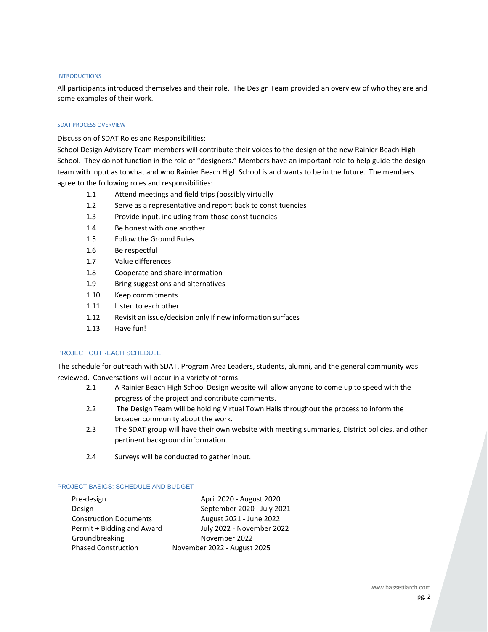#### **INTRODUCTIONS**

All participants introduced themselves and their role. The Design Team provided an overview of who they are and some examples of their work.

#### SDAT PROCESS OVERVIEW

Discussion of SDAT Roles and Responsibilities:

School Design Advisory Team members will contribute their voices to the design of the new Rainier Beach High School. They do not function in the role of "designers." Members have an important role to help guide the design team with input as to what and who Rainier Beach High School is and wants to be in the future. The members agree to the following roles and responsibilities:

- 1.1 Attend meetings and field trips (possibly virtually
- 1.2 Serve as a representative and report back to constituencies
- 1.3 Provide input, including from those constituencies
- 1.4 Be honest with one another
- 1.5 Follow the Ground Rules
- 1.6 Be respectful
- 1.7 Value differences
- 1.8 Cooperate and share information
- 1.9 Bring suggestions and alternatives
- 1.10 Keep commitments
- 1.11 Listen to each other
- 1.12 Revisit an issue/decision only if new information surfaces
- 1.13 Have fun!

# PROJECT OUTREACH SCHEDULE

The schedule for outreach with SDAT, Program Area Leaders, students, alumni, and the general community was reviewed. Conversations will occur in a variety of forms.

- 2.1 A Rainier Beach High School Design website will allow anyone to come up to speed with the progress of the project and contribute comments.
- 2.2 The Design Team will be holding Virtual Town Halls throughout the process to inform the broader community about the work.
- 2.3 The SDAT group will have their own website with meeting summaries, District policies, and other pertinent background information.
- 2.4 Surveys will be conducted to gather input.

#### PROJECT BASICS: SCHEDULE AND BUDGET

| Pre-design                    | April 2020 - August 2020    |  |
|-------------------------------|-----------------------------|--|
| Design                        | September 2020 - July 2021  |  |
| <b>Construction Documents</b> | August 2021 - June 2022     |  |
| Permit + Bidding and Award    | July 2022 - November 2022   |  |
| Groundbreaking                | November 2022               |  |
| <b>Phased Construction</b>    | November 2022 - August 2025 |  |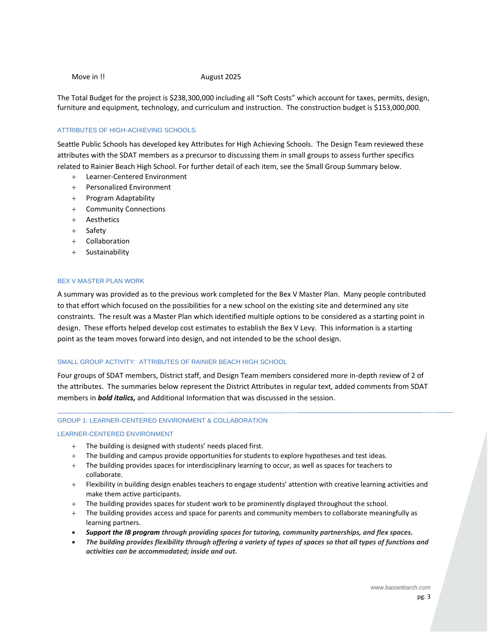#### Move in !! August 2025

The Total Budget for the project is \$238,300,000 including all "Soft Costs" which account for taxes, permits, design, furniture and equipment, technology, and curriculum and instruction. The construction budget is \$153,000,000.

#### ATTRIBUTES OF HIGH-ACHIEVING SCHOOLS.

Seattle Public Schools has developed key Attributes for High Achieving Schools. The Design Team reviewed these attributes with the SDAT members as a precursor to discussing them in small groups to assess further specifics related to Rainier Beach High School. For further detail of each item, see the Small Group Summary below.

- + Learner-Centered Environment
- + Personalized Environment
- + Program Adaptability
- + Community Connections
- + Aesthetics
- + Safety
- + Collaboration
- + Sustainability

# BEX V MASTER PLAN WORK

A summary was provided as to the previous work completed for the Bex V Master Plan. Many people contributed to that effort which focused on the possibilities for a new school on the existing site and determined any site constraints. The result was a Master Plan which identified multiple options to be considered as a starting point in design. These efforts helped develop cost estimates to establish the Bex V Levy. This information is a starting point as the team moves forward into design, and not intended to be the school design.

## SMALL GROUP ACTIVITY: ATTRIBUTES OF RAINIER BEACH HIGH SCHOOL

Four groups of SDAT members, District staff, and Design Team members considered more in-depth review of 2 of the attributes. The summaries below represent the District Attributes in regular text, added comments from SDAT members in *bold italics,* and Additional Information that was discussed in the session.

#### GROUP 1: LEARNER-CENTERED ENVIRONMENT & COLLABORATION

#### LEARNER-CENTERED ENVIRONMENT

- + The building is designed with students' needs placed first.
- + The building and campus provide opportunities for students to explore hypotheses and test ideas.
- + The building provides spaces for interdisciplinary learning to occur, as well as spaces for teachers to collaborate.
- + Flexibility in building design enables teachers to engage students' attention with creative learning activities and make them active participants.
- + The building provides spaces for student work to be prominently displayed throughout the school.
- + The building provides access and space for parents and community members to collaborate meaningfully as learning partners.
- *Support the IB program through providing spaces for tutoring, community partnerships, and flex spaces.*
- *The building provides flexibility through offering a variety of types of spaces so that all types of functions and activities can be accommodated; inside and out.*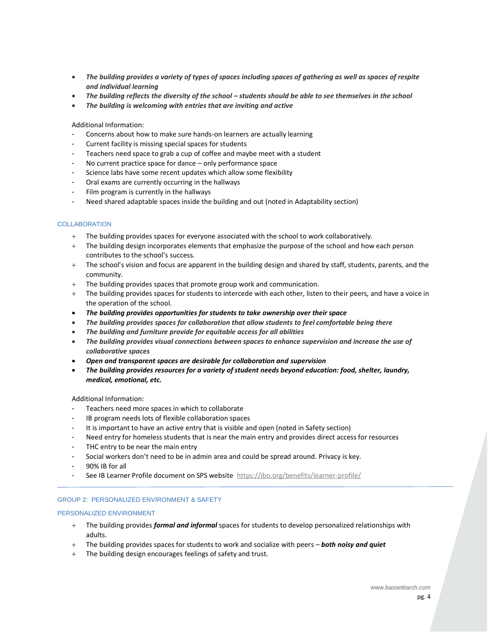- *The building provides a variety of types of spaces including spaces of gathering as well as spaces of respite and individual learning*
- *The building reflects the diversity of the school – students should be able to see themselves in the school*
- *The building is welcoming with entries that are inviting and active*

- Concerns about how to make sure hands-on learners are actually learning
- Current facility is missing special spaces for students
- Teachers need space to grab a cup of coffee and maybe meet with a student
- No current practice space for dance only performance space
- Science labs have some recent updates which allow some flexibility
- Oral exams are currently occurring in the hallways
- Film program is currently in the hallways
- Need shared adaptable spaces inside the building and out (noted in Adaptability section)

# **COLLABORATION**

- + The building provides spaces for everyone associated with the school to work collaboratively.
- + The building design incorporates elements that emphasize the purpose of the school and how each person contributes to the school's success.
- + The school's vision and focus are apparent in the building design and shared by staff, students, parents, and the community.
- + The building provides spaces that promote group work and communication.
- + The building provides spaces for students to intercede with each other, listen to their peers, and have a voice in the operation of the school.
- *The building provides opportunities for students to take ownership over their space*
- *The building provides spaces for collaboration that allow students to feel comfortable being there*
- *The building and furniture provide for equitable access for all abilities*
- *The building provides visual connections between spaces to enhance supervision and increase the use of collaborative spaces*
- *Open and transparent spaces are desirable for collaboration and supervision*
- *The building provides resources for a variety of student needs beyond education: food, shelter, laundry, medical, emotional, etc.*

Additional Information:

- Teachers need more spaces in which to collaborate
- IB program needs lots of flexible collaboration spaces
- It is important to have an active entry that is visible and open (noted in Safety section)
- Need entry for homeless students that is near the main entry and provides direct access for resources
- THC entry to be near the main entry
- Social workers don't need to be in admin area and could be spread around. Privacy is key.
- 90% IB for all
- See IB Learner Profile document on SPS website <https://ibo.org/benefits/learner-profile/>

# GROUP 2: PERSONALIZED ENVIRONMENT & SAFETY

## PERSONALIZED ENVIRONMENT

- + The building provides *formal and informal* spaces for students to develop personalized relationships with adults.
- + The building provides spaces for students to work and socialize with peers *both noisy and quiet*
- + The building design encourages feelings of safety and trust.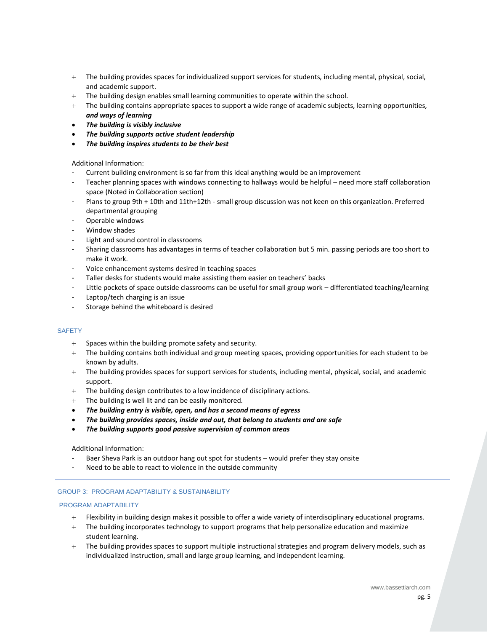- + The building provides spaces for individualized support services for students, including mental, physical, social, and academic support.
- + The building design enables small learning communities to operate within the school.
- + The building contains appropriate spaces to support a wide range of academic subjects, learning opportunities, *and ways of learning*
- *The building is visibly inclusive*
- *The building supports active student leadership*
- *The building inspires students to be their best*

- Current building environment is so far from this ideal anything would be an improvement
- Teacher planning spaces with windows connecting to hallways would be helpful need more staff collaboration space (Noted in Collaboration section)
- Plans to group 9th + 10th and 11th+12th small group discussion was not keen on this organization. Preferred departmental grouping
- Operable windows
- Window shades
- Light and sound control in classrooms
- Sharing classrooms has advantages in terms of teacher collaboration but 5 min. passing periods are too short to make it work.
- Voice enhancement systems desired in teaching spaces
- Taller desks for students would make assisting them easier on teachers' backs
- Little pockets of space outside classrooms can be useful for small group work differentiated teaching/learning
- Laptop/tech charging is an issue
- Storage behind the whiteboard is desired

## **SAFETY**

- + Spaces within the building promote safety and security.
- + The building contains both individual and group meeting spaces, providing opportunities for each student to be known by adults.
- + The building provides spaces for support services for students, including mental, physical, social, and academic support.
- + The building design contributes to a low incidence of disciplinary actions.
- + The building is well lit and can be easily monitored.
- *The building entry is visible, open, and has a second means of egress*
- *The building provides spaces, inside and out, that belong to students and are safe*
- *The building supports good passive supervision of common areas*

## Additional Information:

- Baer Sheva Park is an outdoor hang out spot for students would prefer they stay onsite
- Need to be able to react to violence in the outside community

## GROUP 3: PROGRAM ADAPTABILITY & SUSTAINABILITY

## PROGRAM ADAPTABILITY

- + Flexibility in building design makes it possible to offer a wide variety of interdisciplinary educational programs.
- + The building incorporates technology to support programs that help personalize education and maximize student learning.
- + The building provides spaces to support multiple instructional strategies and program delivery models, such as individualized instruction, small and large group learning, and independent learning.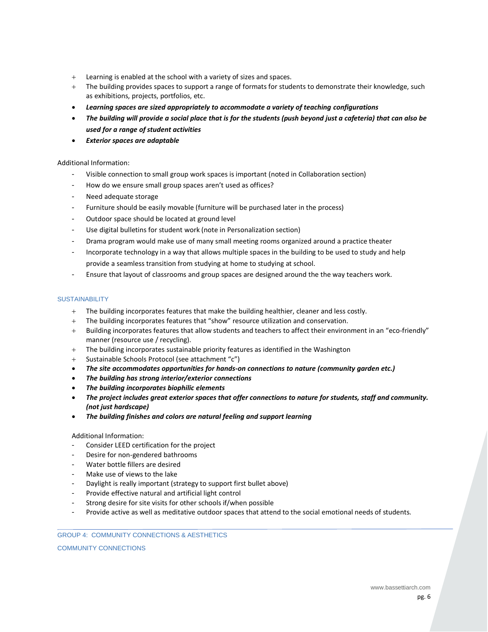- + Learning is enabled at the school with a variety of sizes and spaces.
- + The building provides spaces to support a range of formats for students to demonstrate their knowledge, such as exhibitions, projects, portfolios, etc.
- *Learning spaces are sized appropriately to accommodate a variety of teaching configurations*
- *The building will provide a social place that is for the students (push beyond just a cafeteria) that can also be used for a range of student activities*
- *Exterior spaces are adaptable*

- Visible connection to small group work spaces is important (noted in Collaboration section)
- How do we ensure small group spaces aren't used as offices?
- Need adequate storage
- Furniture should be easily movable (furniture will be purchased later in the process)
- Outdoor space should be located at ground level
- Use digital bulletins for student work (note in Personalization section)
- Drama program would make use of many small meeting rooms organized around a practice theater
- Incorporate technology in a way that allows multiple spaces in the building to be used to study and help provide a seamless transition from studying at home to studying at school.
- Ensure that layout of classrooms and group spaces are designed around the the way teachers work.

# **SUSTAINABILITY**

- The building incorporates features that make the building healthier, cleaner and less costly.
- + The building incorporates features that "show" resource utilization and conservation.
- + Building incorporates features that allow students and teachers to affect their environment in an "eco-friendly" manner (resource use / recycling).
- + The building incorporates sustainable priority features as identified in the Washington
- + Sustainable Schools Protocol (see attachment "c")
- *The site accommodates opportunities for hands-on connections to nature (community garden etc.)*
- *The building has strong interior/exterior connections*
- *The building incorporates biophilic elements*
- *The project includes great exterior spaces that offer connections to nature for students, staff and community. (not just hardscape)*
- *The building finishes and colors are natural feeling and support learning*

## Additional Information:

- Consider LEED certification for the project
- Desire for non-gendered bathrooms
- Water bottle fillers are desired
- Make use of views to the lake
- Daylight is really important (strategy to support first bullet above)
- Provide effective natural and artificial light control
- Strong desire for site visits for other schools if/when possible
- Provide active as well as meditative outdoor spaces that attend to the social emotional needs of students.

## GROUP 4: COMMUNITY CONNECTIONS & AESTHETICS

COMMUNITY CONNECTIONS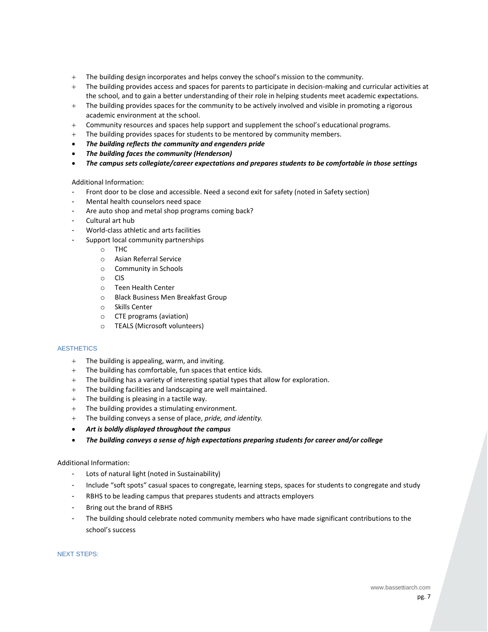- + The building design incorporates and helps convey the school's mission to the community.
- + The building provides access and spaces for parents to participate in decision-making and curricular activities at the school, and to gain a better understanding of their role in helping students meet academic expectations.
- + The building provides spaces for the community to be actively involved and visible in promoting a rigorous academic environment at the school.
- + Community resources and spaces help support and supplement the school's educational programs.
- + The building provides spaces for students to be mentored by community members.
- *The building reflects the community and engenders pride*
- *The building faces the community (Henderson)*
- *The campus sets collegiate/career expectations and prepares students to be comfortable in those settings*

- Front door to be close and accessible. Need a second exit for safety (noted in Safety section)
- Mental health counselors need space
- Are auto shop and metal shop programs coming back?
- Cultural art hub
- World-class athletic and arts facilities
- Support local community partnerships
	- o THC
	- o Asian Referral Service
	- o Community in Schools
	- o CIS
	- o Teen Health Center
	- o Black Business Men Breakfast Group
	- o Skills Center
	- o CTE programs (aviation)
	- o TEALS (Microsoft volunteers)

## **AESTHETICS**

- + The building is appealing, warm, and inviting.
- + The building has comfortable, fun spaces that entice kids.
- + The building has a variety of interesting spatial types that allow for exploration.
- + The building facilities and landscaping are well maintained.
- + The building is pleasing in a tactile way.
- + The building provides a stimulating environment.
- + The building conveys a sense of place, *pride, and identity.*
- *Art is boldly displayed throughout the campus*
- *The building conveys a sense of high expectations preparing students for career and/or college*

# Additional Information:

- Lots of natural light (noted in Sustainability)
- Include "soft spots" casual spaces to congregate, learning steps, spaces for students to congregate and study
- RBHS to be leading campus that prepares students and attracts employers
- Bring out the brand of RBHS
- The building should celebrate noted community members who have made significant contributions to the school's success

NEXT STEPS: